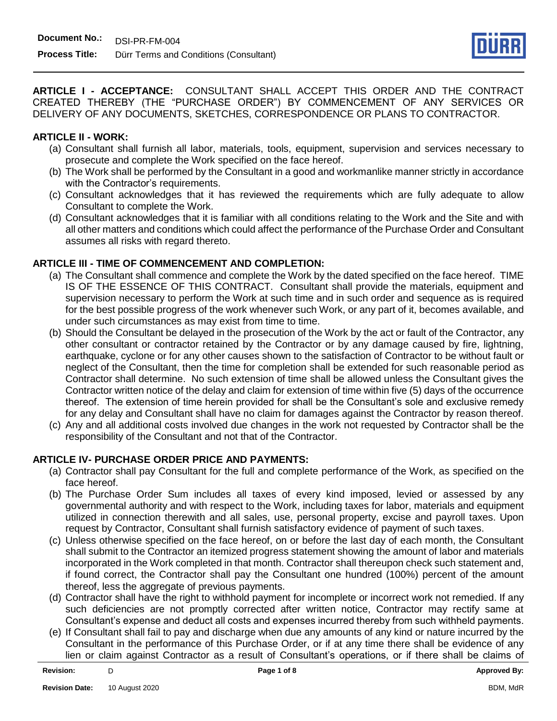

**ARTICLE I - ACCEPTANCE:** CONSULTANT SHALL ACCEPT THIS ORDER AND THE CONTRACT CREATED THEREBY (THE "PURCHASE ORDER") BY COMMENCEMENT OF ANY SERVICES OR DELIVERY OF ANY DOCUMENTS, SKETCHES, CORRESPONDENCE OR PLANS TO CONTRACTOR.

#### **ARTICLE II - WORK:**

- (a) Consultant shall furnish all labor, materials, tools, equipment, supervision and services necessary to prosecute and complete the Work specified on the face hereof.
- (b) The Work shall be performed by the Consultant in a good and workmanlike manner strictly in accordance with the Contractor's requirements.
- (c) Consultant acknowledges that it has reviewed the requirements which are fully adequate to allow Consultant to complete the Work.
- (d) Consultant acknowledges that it is familiar with all conditions relating to the Work and the Site and with all other matters and conditions which could affect the performance of the Purchase Order and Consultant assumes all risks with regard thereto.

## **ARTICLE III - TIME OF COMMENCEMENT AND COMPLETION:**

- (a) The Consultant shall commence and complete the Work by the dated specified on the face hereof. TIME IS OF THE ESSENCE OF THIS CONTRACT. Consultant shall provide the materials, equipment and supervision necessary to perform the Work at such time and in such order and sequence as is required for the best possible progress of the work whenever such Work, or any part of it, becomes available, and under such circumstances as may exist from time to time.
- (b) Should the Consultant be delayed in the prosecution of the Work by the act or fault of the Contractor, any other consultant or contractor retained by the Contractor or by any damage caused by fire, lightning, earthquake, cyclone or for any other causes shown to the satisfaction of Contractor to be without fault or neglect of the Consultant, then the time for completion shall be extended for such reasonable period as Contractor shall determine. No such extension of time shall be allowed unless the Consultant gives the Contractor written notice of the delay and claim for extension of time within five (5) days of the occurrence thereof. The extension of time herein provided for shall be the Consultant's sole and exclusive remedy for any delay and Consultant shall have no claim for damages against the Contractor by reason thereof.
- (c) Any and all additional costs involved due changes in the work not requested by Contractor shall be the responsibility of the Consultant and not that of the Contractor.

## **ARTICLE IV- PURCHASE ORDER PRICE AND PAYMENTS:**

- (a) Contractor shall pay Consultant for the full and complete performance of the Work, as specified on the face hereof.
- (b) The Purchase Order Sum includes all taxes of every kind imposed, levied or assessed by any governmental authority and with respect to the Work, including taxes for labor, materials and equipment utilized in connection therewith and all sales, use, personal property, excise and payroll taxes. Upon request by Contractor, Consultant shall furnish satisfactory evidence of payment of such taxes.
- (c) Unless otherwise specified on the face hereof, on or before the last day of each month, the Consultant shall submit to the Contractor an itemized progress statement showing the amount of labor and materials incorporated in the Work completed in that month. Contractor shall thereupon check such statement and, if found correct, the Contractor shall pay the Consultant one hundred (100%) percent of the amount thereof, less the aggregate of previous payments.
- (d) Contractor shall have the right to withhold payment for incomplete or incorrect work not remedied. If any such deficiencies are not promptly corrected after written notice, Contractor may rectify same at Consultant's expense and deduct all costs and expenses incurred thereby from such withheld payments.
- (e) If Consultant shall fail to pay and discharge when due any amounts of any kind or nature incurred by the Consultant in the performance of this Purchase Order, or if at any time there shall be evidence of any lien or claim against Contractor as a result of Consultant's operations, or if there shall be claims of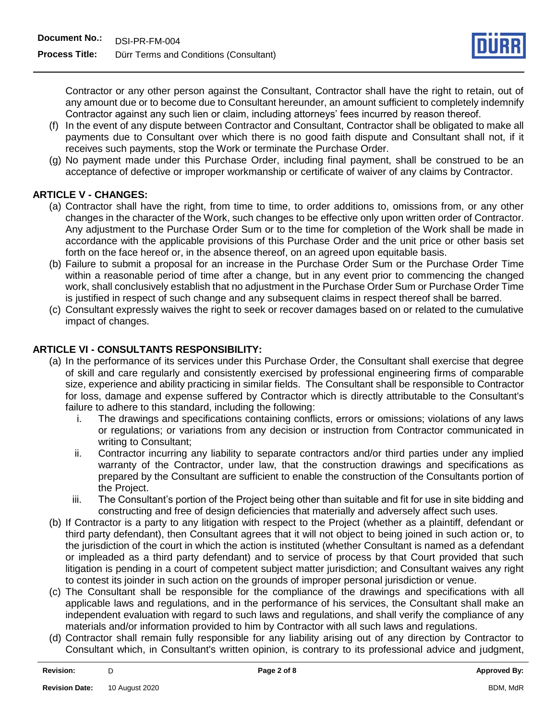

Contractor or any other person against the Consultant, Contractor shall have the right to retain, out of any amount due or to become due to Consultant hereunder, an amount sufficient to completely indemnify Contractor against any such lien or claim, including attorneys' fees incurred by reason thereof.

- (f) In the event of any dispute between Contractor and Consultant, Contractor shall be obligated to make all payments due to Consultant over which there is no good faith dispute and Consultant shall not, if it receives such payments, stop the Work or terminate the Purchase Order.
- (g) No payment made under this Purchase Order, including final payment, shall be construed to be an acceptance of defective or improper workmanship or certificate of waiver of any claims by Contractor.

# **ARTICLE V - CHANGES:**

- (a) Contractor shall have the right, from time to time, to order additions to, omissions from, or any other changes in the character of the Work, such changes to be effective only upon written order of Contractor. Any adjustment to the Purchase Order Sum or to the time for completion of the Work shall be made in accordance with the applicable provisions of this Purchase Order and the unit price or other basis set forth on the face hereof or, in the absence thereof, on an agreed upon equitable basis.
- (b) Failure to submit a proposal for an increase in the Purchase Order Sum or the Purchase Order Time within a reasonable period of time after a change, but in any event prior to commencing the changed work, shall conclusively establish that no adjustment in the Purchase Order Sum or Purchase Order Time is justified in respect of such change and any subsequent claims in respect thereof shall be barred.
- (c) Consultant expressly waives the right to seek or recover damages based on or related to the cumulative impact of changes.

## **ARTICLE VI - CONSULTANTS RESPONSIBILITY:**

- (a) In the performance of its services under this Purchase Order, the Consultant shall exercise that degree of skill and care regularly and consistently exercised by professional engineering firms of comparable size, experience and ability practicing in similar fields. The Consultant shall be responsible to Contractor for loss, damage and expense suffered by Contractor which is directly attributable to the Consultant's failure to adhere to this standard, including the following:
	- i. The drawings and specifications containing conflicts, errors or omissions; violations of any laws or regulations; or variations from any decision or instruction from Contractor communicated in writing to Consultant;
	- ii. Contractor incurring any liability to separate contractors and/or third parties under any implied warranty of the Contractor, under law, that the construction drawings and specifications as prepared by the Consultant are sufficient to enable the construction of the Consultants portion of the Project.
	- iii. The Consultant's portion of the Project being other than suitable and fit for use in site bidding and constructing and free of design deficiencies that materially and adversely affect such uses.
- (b) If Contractor is a party to any litigation with respect to the Project (whether as a plaintiff, defendant or third party defendant), then Consultant agrees that it will not object to being joined in such action or, to the jurisdiction of the court in which the action is instituted (whether Consultant is named as a defendant or impleaded as a third party defendant) and to service of process by that Court provided that such litigation is pending in a court of competent subject matter jurisdiction; and Consultant waives any right to contest its joinder in such action on the grounds of improper personal jurisdiction or venue.
- (c) The Consultant shall be responsible for the compliance of the drawings and specifications with all applicable laws and regulations, and in the performance of his services, the Consultant shall make an independent evaluation with regard to such laws and regulations, and shall verify the compliance of any materials and/or information provided to him by Contractor with all such laws and regulations.
- (d) Contractor shall remain fully responsible for any liability arising out of any direction by Contractor to Consultant which, in Consultant's written opinion, is contrary to its professional advice and judgment,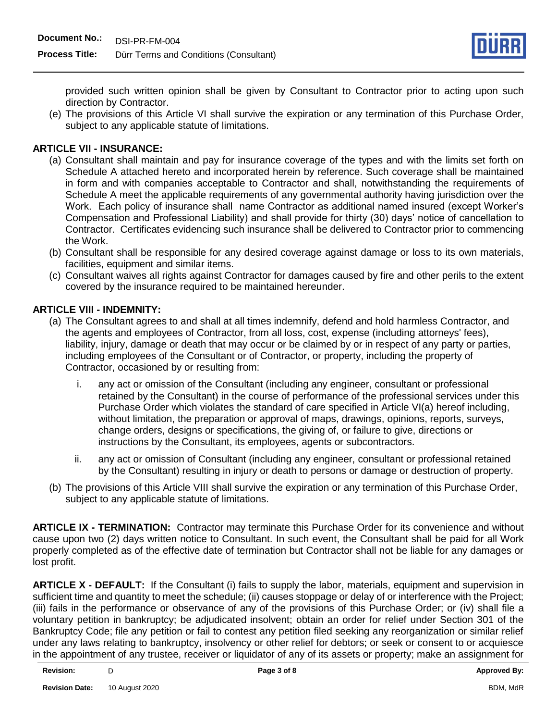

provided such written opinion shall be given by Consultant to Contractor prior to acting upon such direction by Contractor.

(e) The provisions of this Article VI shall survive the expiration or any termination of this Purchase Order, subject to any applicable statute of limitations.

#### **ARTICLE VII - INSURANCE:**

- (a) Consultant shall maintain and pay for insurance coverage of the types and with the limits set forth on Schedule A attached hereto and incorporated herein by reference. Such coverage shall be maintained in form and with companies acceptable to Contractor and shall, notwithstanding the requirements of Schedule A meet the applicable requirements of any governmental authority having jurisdiction over the Work. Each policy of insurance shall name Contractor as additional named insured (except Worker's Compensation and Professional Liability) and shall provide for thirty (30) days' notice of cancellation to Contractor. Certificates evidencing such insurance shall be delivered to Contractor prior to commencing the Work.
- (b) Consultant shall be responsible for any desired coverage against damage or loss to its own materials, facilities, equipment and similar items.
- (c) Consultant waives all rights against Contractor for damages caused by fire and other perils to the extent covered by the insurance required to be maintained hereunder.

#### **ARTICLE VIII - INDEMNITY:**

- (a) The Consultant agrees to and shall at all times indemnify, defend and hold harmless Contractor, and the agents and employees of Contractor, from all loss, cost, expense (including attorneys' fees), liability, injury, damage or death that may occur or be claimed by or in respect of any party or parties, including employees of the Consultant or of Contractor, or property, including the property of Contractor, occasioned by or resulting from:
	- i. any act or omission of the Consultant (including any engineer, consultant or professional retained by the Consultant) in the course of performance of the professional services under this Purchase Order which violates the standard of care specified in Article VI(a) hereof including, without limitation, the preparation or approval of maps, drawings, opinions, reports, surveys, change orders, designs or specifications, the giving of, or failure to give, directions or instructions by the Consultant, its employees, agents or subcontractors.
	- ii. any act or omission of Consultant (including any engineer, consultant or professional retained by the Consultant) resulting in injury or death to persons or damage or destruction of property.
- (b) The provisions of this Article VIII shall survive the expiration or any termination of this Purchase Order, subject to any applicable statute of limitations.

**ARTICLE IX - TERMINATION:** Contractor may terminate this Purchase Order for its convenience and without cause upon two (2) days written notice to Consultant. In such event, the Consultant shall be paid for all Work properly completed as of the effective date of termination but Contractor shall not be liable for any damages or lost profit.

**ARTICLE X - DEFAULT:** If the Consultant (i) fails to supply the labor, materials, equipment and supervision in sufficient time and quantity to meet the schedule; (ii) causes stoppage or delay of or interference with the Project; (iii) fails in the performance or observance of any of the provisions of this Purchase Order; or (iv) shall file a voluntary petition in bankruptcy; be adjudicated insolvent; obtain an order for relief under Section 301 of the Bankruptcy Code; file any petition or fail to contest any petition filed seeking any reorganization or similar relief under any laws relating to bankruptcy, insolvency or other relief for debtors; or seek or consent to or acquiesce in the appointment of any trustee, receiver or liquidator of any of its assets or property; make an assignment for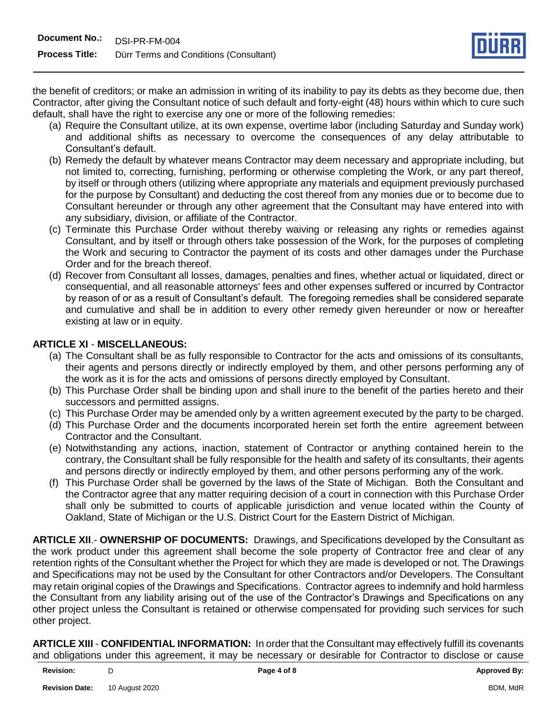the benefit of creditors; or make an admission in writing of its inability to pay its debts as they become due, then Contractor, after giving the Consultant notice of such default and forty-eight (48) hours within which to cure such default, shall have the right to exercise any one or more of the following remedies:

- (a) Require the Consultant utilize, at its own expense, overtime labor (including Saturday and Sunday work) and additional shifts as necessary to overcome the consequences of any delay attributable to Consultant's default.
- (b) Remedy the default by whatever means Contractor may deem necessary and appropriate including, but not limited to, correcting, furnishing, performing or otherwise completing the Work, or any part thereof, by itself or through others (utilizing where appropriate any materials and equipment previously purchased for the purpose by Consultant) and deducting the cost thereof from any monies due or to become due to Consultant hereunder or through any other agreement that the Consultant may have entered into with any subsidiary, division, or affiliate of the Contractor.
- (c) Terminate this Purchase Order without thereby waiving or releasing any rights or remedies against Consultant, and by itself or through others take possession of the Work, for the purposes of completing the Work and securing to Contractor the payment of its costs and other damages under the Purchase Order and for the breach thereof.
- (d) Recover from Consultant all losses, damages, penalties and fines, whether actual or liquidated, direct or consequential, and all reasonable attorneys' fees and other expenses suffered or incurred by Contractor by reason of or as a result of Consultant's default. The foregoing remedies shall be considered separate and cumulative and shall be in addition to every other remedy given hereunder or now or hereafter existing at law or in equity.

# **ARTICLE XI** - **MISCELLANEOUS:**

- (a) The Consultant shall be as fully responsible to Contractor for the acts and omissions of its consultants, their agents and persons directly or indirectly employed by them, and other persons performing any of the work as it is for the acts and omissions of persons directly employed by Consultant.
- (b) This Purchase Order shall be binding upon and shall inure to the benefit of the parties hereto and their successors and permitted assigns.
- (c) This Purchase Order may be amended only by a written agreement executed by the party to be charged.
- (d) This Purchase Order and the documents incorporated herein set forth the entire agreement between Contractor and the Consultant.
- (e) Notwithstanding any actions, inaction, statement of Contractor or anything contained herein to the contrary, the Consultant shall be fully responsible for the health and safety of its consultants, their agents and persons directly or indirectly employed by them, and other persons performing any of the work.
- (f) This Purchase Order shall be governed by the laws of the State of Michigan. Both the Consultant and the Contractor agree that any matter requiring decision of a court in connection with this Purchase Order shall only be submitted to courts of applicable jurisdiction and venue located within the County of Oakland, State of Michigan or the U.S. District Court for the Eastern District of Michigan.

**ARTICLE XII**.- **OWNERSHIP OF DOCUMENTS:** Drawings, and Specifications developed by the Consultant as the work product under this agreement shall become the sole property of Contractor free and clear of any retention rights of the Consultant whether the Project for which they are made is developed or not. The Drawings and Specifications may not be used by the Consultant for other Contractors and/or Developers. The Consultant may retain original copies of the Drawings and Specifications. Contractor agrees to indemnify and hold harmless the Consultant from any liability arising out of the use of the Contractor's Drawings and Specifications on any other project unless the Consultant is retained or otherwise compensated for providing such services for such other project.

**ARTICLE XIII** - **CONFIDENTIAL INFORMATION:** In order that the Consultant may effectively fulfill its covenants and obligations under this agreement, it may be necessary or desirable for Contractor to disclose or cause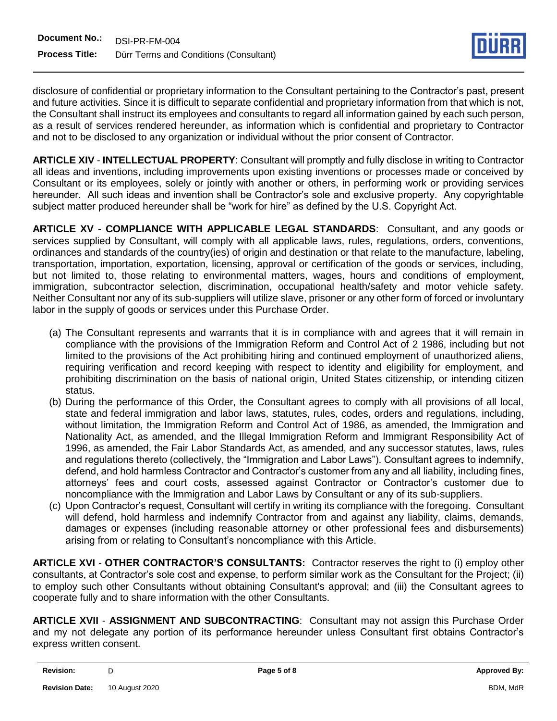

disclosure of confidential or proprietary information to the Consultant pertaining to the Contractor's past, present and future activities. Since it is difficult to separate confidential and proprietary information from that which is not, the Consultant shall instruct its employees and consultants to regard all information gained by each such person, as a result of services rendered hereunder, as information which is confidential and proprietary to Contractor and not to be disclosed to any organization or individual without the prior consent of Contractor.

**ARTICLE XIV** - **INTELLECTUAL PROPERTY**: Consultant will promptly and fully disclose in writing to Contractor all ideas and inventions, including improvements upon existing inventions or processes made or conceived by Consultant or its employees, solely or jointly with another or others, in performing work or providing services hereunder. All such ideas and invention shall be Contractor's sole and exclusive property. Any copyrightable subject matter produced hereunder shall be "work for hire" as defined by the U.S. Copyright Act.

**ARTICLE XV - COMPLIANCE WITH APPLICABLE LEGAL STANDARDS**: Consultant, and any goods or services supplied by Consultant, will comply with all applicable laws, rules, regulations, orders, conventions, ordinances and standards of the country(ies) of origin and destination or that relate to the manufacture, labeling, transportation, importation, exportation, licensing, approval or certification of the goods or services, including, but not limited to, those relating to environmental matters, wages, hours and conditions of employment, immigration, subcontractor selection, discrimination, occupational health/safety and motor vehicle safety. Neither Consultant nor any of its sub-suppliers will utilize slave, prisoner or any other form of forced or involuntary labor in the supply of goods or services under this Purchase Order.

- (a) The Consultant represents and warrants that it is in compliance with and agrees that it will remain in compliance with the provisions of the Immigration Reform and Control Act of 2 1986, including but not limited to the provisions of the Act prohibiting hiring and continued employment of unauthorized aliens, requiring verification and record keeping with respect to identity and eligibility for employment, and prohibiting discrimination on the basis of national origin, United States citizenship, or intending citizen status.
- (b) During the performance of this Order, the Consultant agrees to comply with all provisions of all local, state and federal immigration and labor laws, statutes, rules, codes, orders and regulations, including, without limitation, the Immigration Reform and Control Act of 1986, as amended, the Immigration and Nationality Act, as amended, and the Illegal Immigration Reform and Immigrant Responsibility Act of 1996, as amended, the Fair Labor Standards Act, as amended, and any successor statutes, laws, rules and regulations thereto (collectively, the "Immigration and Labor Laws"). Consultant agrees to indemnify, defend, and hold harmless Contractor and Contractor's customer from any and all liability, including fines, attorneys' fees and court costs, assessed against Contractor or Contractor's customer due to noncompliance with the Immigration and Labor Laws by Consultant or any of its sub-suppliers.
- (c) Upon Contractor's request, Consultant will certify in writing its compliance with the foregoing. Consultant will defend, hold harmless and indemnify Contractor from and against any liability, claims, demands, damages or expenses (including reasonable attorney or other professional fees and disbursements) arising from or relating to Consultant's noncompliance with this Article.

**ARTICLE XVI** - **OTHER CONTRACTOR'S CONSULTANTS:** Contractor reserves the right to (i) employ other consultants, at Contractor's sole cost and expense, to perform similar work as the Consultant for the Project; (ii) to employ such other Consultants without obtaining Consultant's approval; and (iii) the Consultant agrees to cooperate fully and to share information with the other Consultants.

**ARTICLE XVII** - **ASSIGNMENT AND SUBCONTRACTING**: Consultant may not assign this Purchase Order and my not delegate any portion of its performance hereunder unless Consultant first obtains Contractor's express written consent.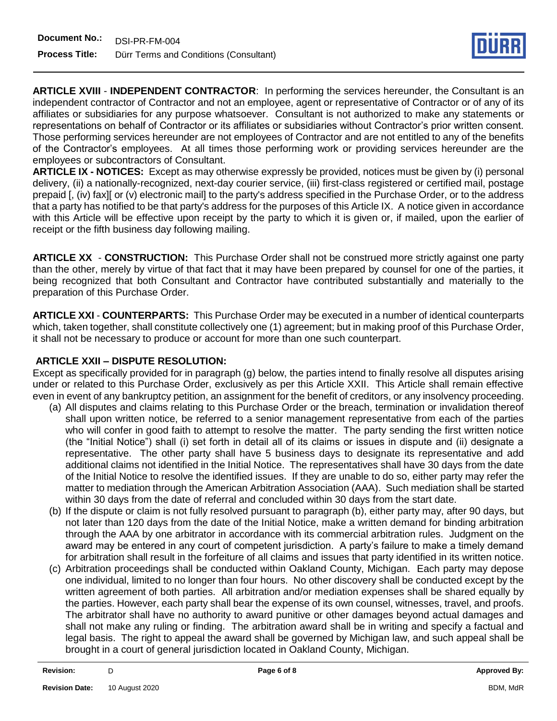

**ARTICLE XVIII** - **INDEPENDENT CONTRACTOR**: In performing the services hereunder, the Consultant is an independent contractor of Contractor and not an employee, agent or representative of Contractor or of any of its affiliates or subsidiaries for any purpose whatsoever. Consultant is not authorized to make any statements or representations on behalf of Contractor or its affiliates or subsidiaries without Contractor's prior written consent. Those performing services hereunder are not employees of Contractor and are not entitled to any of the benefits of the Contractor's employees. At all times those performing work or providing services hereunder are the employees or subcontractors of Consultant.

**ARTICLE IX - NOTICES:** Except as may otherwise expressly be provided, notices must be given by (i) personal delivery, (ii) a nationally-recognized, next-day courier service, (iii) first-class registered or certified mail, postage prepaid [, (iv) fax][ or (v) electronic mail] to the party's address specified in the Purchase Order, or to the address that a party has notified to be that party's address for the purposes of this Article IX. A notice given in accordance with this Article will be effective upon receipt by the party to which it is given or, if mailed, upon the earlier of receipt or the fifth business day following mailing.

**ARTICLE XX** - **CONSTRUCTION:** This Purchase Order shall not be construed more strictly against one party than the other, merely by virtue of that fact that it may have been prepared by counsel for one of the parties, it being recognized that both Consultant and Contractor have contributed substantially and materially to the preparation of this Purchase Order.

**ARTICLE XXI** - **COUNTERPARTS:** This Purchase Order may be executed in a number of identical counterparts which, taken together, shall constitute collectively one (1) agreement; but in making proof of this Purchase Order, it shall not be necessary to produce or account for more than one such counterpart.

# **ARTICLE XXII – DISPUTE RESOLUTION:**

Except as specifically provided for in paragraph (g) below, the parties intend to finally resolve all disputes arising under or related to this Purchase Order, exclusively as per this Article XXII. This Article shall remain effective even in event of any bankruptcy petition, an assignment for the benefit of creditors, or any insolvency proceeding.

- (a) All disputes and claims relating to this Purchase Order or the breach, termination or invalidation thereof shall upon written notice, be referred to a senior management representative from each of the parties who will confer in good faith to attempt to resolve the matter. The party sending the first written notice (the "Initial Notice") shall (i) set forth in detail all of its claims or issues in dispute and (ii) designate a representative. The other party shall have 5 business days to designate its representative and add additional claims not identified in the Initial Notice. The representatives shall have 30 days from the date of the Initial Notice to resolve the identified issues. If they are unable to do so, either party may refer the matter to mediation through the American Arbitration Association (AAA). Such mediation shall be started within 30 days from the date of referral and concluded within 30 days from the start date.
- (b) If the dispute or claim is not fully resolved pursuant to paragraph (b), either party may, after 90 days, but not later than 120 days from the date of the Initial Notice, make a written demand for binding arbitration through the AAA by one arbitrator in accordance with its commercial arbitration rules. Judgment on the award may be entered in any court of competent jurisdiction. A party's failure to make a timely demand for arbitration shall result in the forfeiture of all claims and issues that party identified in its written notice.
- (c) Arbitration proceedings shall be conducted within Oakland County, Michigan. Each party may depose one individual, limited to no longer than four hours. No other discovery shall be conducted except by the written agreement of both parties. All arbitration and/or mediation expenses shall be shared equally by the parties. However, each party shall bear the expense of its own counsel, witnesses, travel, and proofs. The arbitrator shall have no authority to award punitive or other damages beyond actual damages and shall not make any ruling or finding. The arbitration award shall be in writing and specify a factual and legal basis. The right to appeal the award shall be governed by Michigan law, and such appeal shall be brought in a court of general jurisdiction located in Oakland County, Michigan.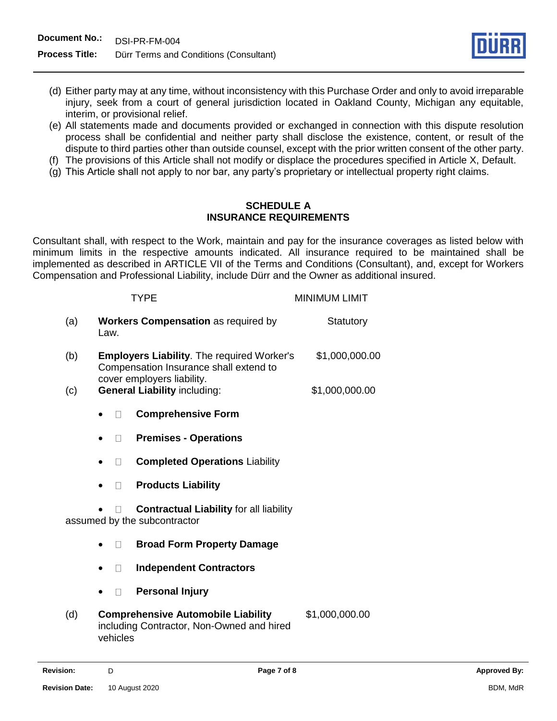

- (d) Either party may at any time, without inconsistency with this Purchase Order and only to avoid irreparable injury, seek from a court of general jurisdiction located in Oakland County, Michigan any equitable, interim, or provisional relief.
- (e) All statements made and documents provided or exchanged in connection with this dispute resolution process shall be confidential and neither party shall disclose the existence, content, or result of the dispute to third parties other than outside counsel, except with the prior written consent of the other party.
- (f) The provisions of this Article shall not modify or displace the procedures specified in Article X, Default.
- (g) This Article shall not apply to nor bar, any party's proprietary or intellectual property right claims.

#### **SCHEDULE A INSURANCE REQUIREMENTS**

Consultant shall, with respect to the Work, maintain and pay for the insurance coverages as listed below with minimum limits in the respective amounts indicated. All insurance required to be maintained shall be implemented as described in ARTICLE VII of the Terms and Conditions (Consultant), and, except for Workers Compensation and Professional Liability, include Dürr and the Owner as additional insured.

|                              | <b>TYPE</b>                                                                                        | <b>MINIMUM LIMIT</b> |
|------------------------------|----------------------------------------------------------------------------------------------------|----------------------|
| (a)                          | <b>Workers Compensation as required by</b><br>Law.                                                 | Statutory            |
| (b)                          | <b>Employers Liability.</b> The required Worker's<br>Compensation Insurance shall extend to        | \$1,000,000.00       |
| (c)                          | cover employers liability.<br><b>General Liability including:</b>                                  | \$1,000,000.00       |
|                              | <b>Comprehensive Form</b>                                                                          |                      |
|                              | <b>Premises - Operations</b>                                                                       |                      |
|                              | <b>Completed Operations Liability</b><br>$\mathbf{L}$                                              |                      |
|                              | <b>Products Liability</b>                                                                          |                      |
| assumed by the subcontractor | <b>Contractual Liability for all liability</b>                                                     |                      |
|                              | <b>Broad Form Property Damage</b>                                                                  |                      |
|                              | <b>Independent Contractors</b>                                                                     |                      |
|                              | <b>Personal Injury</b>                                                                             |                      |
| (d)                          | <b>Comprehensive Automobile Liability</b><br>including Contractor, Non-Owned and hired<br>vehicles | \$1,000,000.00       |